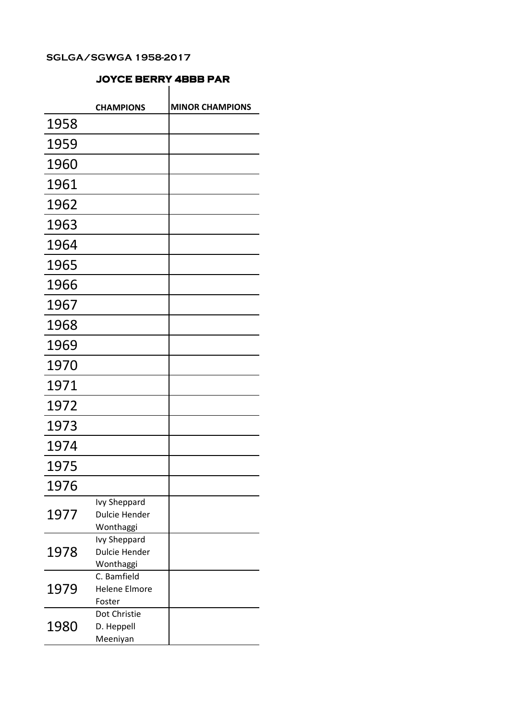## JOYCE BERRY 4BBB PAR

|      | <b>CHAMPIONS</b>                     | <b>MINOR CHAMPIONS</b> |
|------|--------------------------------------|------------------------|
| 1958 |                                      |                        |
| 1959 |                                      |                        |
| 1960 |                                      |                        |
|      |                                      |                        |
| 1961 |                                      |                        |
| 1962 |                                      |                        |
| 1963 |                                      |                        |
| 1964 |                                      |                        |
| 1965 |                                      |                        |
| 1966 |                                      |                        |
| 1967 |                                      |                        |
| 1968 |                                      |                        |
| 1969 |                                      |                        |
| 1970 |                                      |                        |
| 1971 |                                      |                        |
| 1972 |                                      |                        |
| 1973 |                                      |                        |
| 1974 |                                      |                        |
| 1975 |                                      |                        |
| 1976 |                                      |                        |
| 1977 | <b>Ivy Sheppard</b>                  |                        |
|      | <b>Dulcie Hender</b>                 |                        |
|      | Wonthaggi                            |                        |
| 1978 | Ivy Sheppard<br><b>Dulcie Hender</b> |                        |
|      | Wonthaggi                            |                        |
| 1979 | C. Bamfield                          |                        |
|      | <b>Helene Elmore</b>                 |                        |
|      | Foster                               |                        |
| 1980 | Dot Christie                         |                        |
|      | D. Heppell                           |                        |
|      | Meeniyan                             |                        |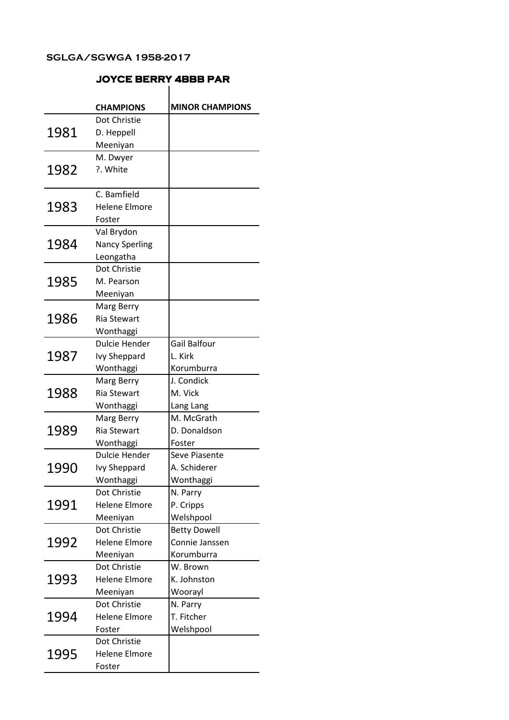|      | <b>JOYCE BERRY 4BBB PAR</b> |                        |
|------|-----------------------------|------------------------|
|      | <b>CHAMPIONS</b>            | <b>MINOR CHAMPIONS</b> |
| 1981 | Dot Christie                |                        |
|      | D. Heppell                  |                        |
|      | Meeniyan                    |                        |
| 1982 | M. Dwyer                    |                        |
|      | ?. White                    |                        |
|      |                             |                        |
| 1983 | C. Bamfield                 |                        |
|      | <b>Helene Elmore</b>        |                        |
|      | Foster                      |                        |
| 1984 | Val Brydon                  |                        |
|      | <b>Nancy Sperling</b>       |                        |
|      | Leongatha                   |                        |
| 1985 | Dot Christie                |                        |
|      | M. Pearson                  |                        |
|      | Meeniyan                    |                        |
| 1986 | Marg Berry                  |                        |
|      | <b>Ria Stewart</b>          |                        |
|      | Wonthaggi                   |                        |
|      | <b>Dulcie Hender</b>        | <b>Gail Balfour</b>    |
| 1987 | <b>Ivy Sheppard</b>         | L. Kirk                |
|      | Wonthaggi                   | Korumburra             |
| 1988 | Marg Berry                  | J. Condick             |
|      | <b>Ria Stewart</b>          | M. Vick                |
|      | Wonthaggi                   | Lang Lang              |
|      | Marg Berry                  | M. McGrath             |
| 1989 | <b>Ria Stewart</b>          | D. Donaldson           |
|      | Wonthaggi                   | Foster                 |
| 1990 | Dulcie Hender               | Seve Piasente          |
|      | <b>Ivy Sheppard</b>         | A. Schiderer           |
|      | Wonthaggi                   | Wonthaggi              |
| 1991 | Dot Christie                | N. Parry               |
|      | <b>Helene Elmore</b>        | P. Cripps              |
|      | Meeniyan                    | Welshpool              |
| 1992 | Dot Christie                | <b>Betty Dowell</b>    |
|      | <b>Helene Elmore</b>        | Connie Janssen         |
|      | Meeniyan                    | Korumburra             |
| 1993 | Dot Christie                | W. Brown               |
|      | <b>Helene Elmore</b>        | K. Johnston            |
|      | Meeniyan                    | Woorayl                |
| 1994 | Dot Christie                | N. Parry               |
|      | <b>Helene Elmore</b>        | T. Fitcher             |
|      | Foster                      | Welshpool              |
| 1995 | Dot Christie                |                        |
|      | <b>Helene Elmore</b>        |                        |
|      | Foster                      |                        |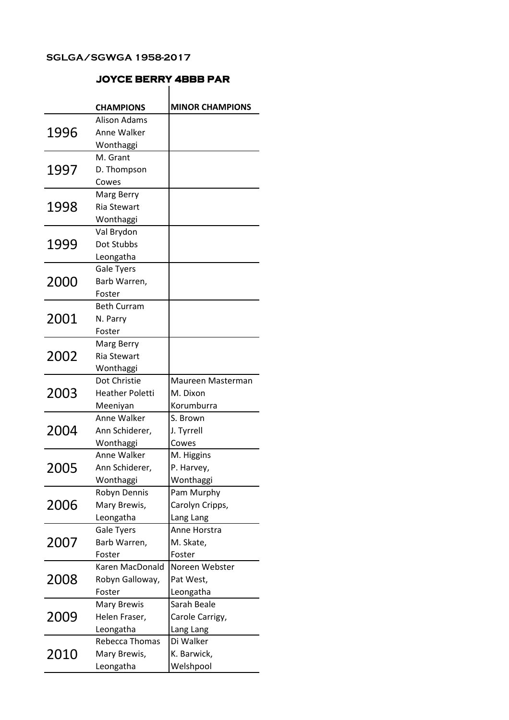### CHAMPIONS MINOR CHAMPIONS JOYCE BERRY 4BBB PAR 1996 Alison Adams Anne Walker Wonthaggi 1997 M. Grant D. Thompson Cowes 1998 Marg Berry Ria Stewart Wonthaggi 1999 Val Brydon Dot Stubbs Leongatha 2000 Gale Tyers Barb Warren, Foster 2001 Beth Curram N. Parry Foster 2002 Marg Berry Ria Stewart Wonthaggi 2003 Dot Christie Heather Poletti Meeniyan Maureen Masterman M. Dixon Korumburra 2004 Anne Walker Ann Schiderer, Wonthaggi S. Brown J. Tyrrell Cowes 2005 Anne Walker Ann Schiderer, Wonthaggi M. Higgins P. Harvey, Wonthaggi 2006 Robyn Dennis Mary Brewis, Leongatha Pam Murphy Carolyn Cripps, Lang Lang 2007 Gale Tyers Barb Warren, Foster Anne Horstra M. Skate, Foster 2008 Karen MacDonald Robyn Galloway, Foster Noreen Webster Pat West, Leongatha 2009 Mary Brewis Helen Fraser, Leongatha Sarah Beale Carole Carrigy, Lang Lang 2010 Rebecca Thomas Mary Brewis, Leongatha Di Walker K. Barwick, Welshpool